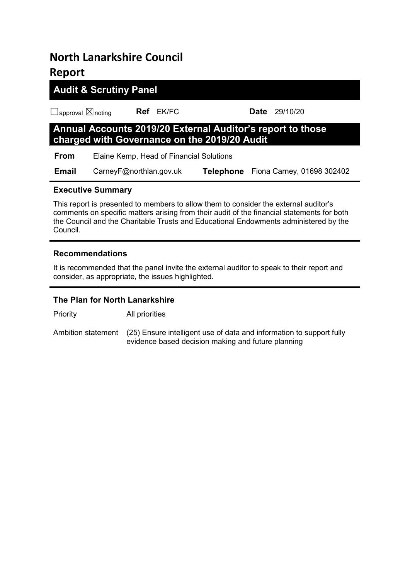# **North Lanarkshire Council Report**

# **Audit & Scrutiny Panel**

☐approval ☒noting **Ref** EK/FC **Date** 29/10/20

# **Annual Accounts 2019/20 External Auditor's report to those charged with Governance on the 2019/20 Audit**

 **From** Elaine Kemp, Head of Financial Solutions

 **Email** CarneyF@northlan.gov.uk **Telephone** Fiona Carney, 01698 302402

# **Executive Summary**

This report is presented to members to allow them to consider the external auditor's comments on specific matters arising from their audit of the financial statements for both the Council and the Charitable Trusts and Educational Endowments administered by the Council.

# **Recommendations**

It is recommended that the panel invite the external auditor to speak to their report and consider, as appropriate, the issues highlighted.

# **The Plan for North Lanarkshire**

Priority All priorities

Ambition statement (25) Ensure intelligent use of data and information to support fully evidence based decision making and future planning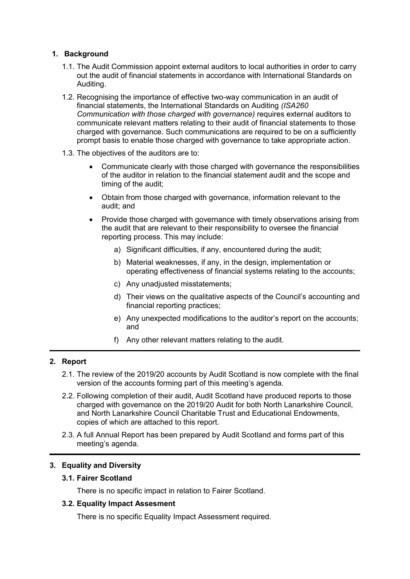## **1. Background**

- 1.1. The Audit Commission appoint external auditors to local authorities in order to carry out the audit of financial statements in accordance with International Standards on Auditing.
- 1.2. Recognising the importance of effective two-way communication in an audit of financial statements, the International Standards on Auditing *(ISA260 Communication with those charged with governance)* requires external auditors to communicate relevant matters relating to their audit of financial statements to those charged with governance. Such communications are required to be on a sufficiently prompt basis to enable those charged with governance to take appropriate action.
- 1.3. The objectives of the auditors are to:
	- Communicate clearly with those charged with governance the responsibilities of the auditor in relation to the financial statement audit and the scope and timing of the audit;
	- Obtain from those charged with governance, information relevant to the audit; and
	- Provide those charged with governance with timely observations arising from the audit that are relevant to their responsibility to oversee the financial reporting process. This may include:
		- a) Significant difficulties, if any, encountered during the audit;
		- b) Material weaknesses, if any, in the design, implementation or operating effectiveness of financial systems relating to the accounts;
		- c) Any unadjusted misstatements;
		- d) Their views on the qualitative aspects of the Council's accounting and financial reporting practices;
		- e) Any unexpected modifications to the auditor's report on the accounts; and
		- f) Any other relevant matters relating to the audit.

## **2. Report**

- 2.1. The review of the 2019/20 accounts by Audit Scotland is now complete with the final version of the accounts forming part of this meeting's agenda.
- 2.2. Following completion of their audit, Audit Scotland have produced reports to those charged with governance on the 2019/20 Audit for both North Lanarkshire Council, and North Lanarkshire Council Charitable Trust and Educational Endowments, copies of which are attached to this report.
- 2.3. A full Annual Report has been prepared by Audit Scotland and forms part of this meeting's agenda.

### **3. Equality and Diversity**

# **3.1. Fairer Scotland**

There is no specific impact in relation to Fairer Scotland.

### **3.2. Equality Impact Assesment**

There is no specific Equality Impact Assessment required.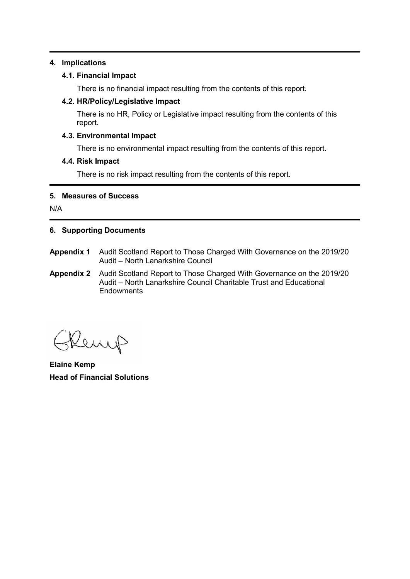### **4. Implications**

### **4.1. Financial Impact**

There is no financial impact resulting from the contents of this report.

### **4.2. HR/Policy/Legislative Impact**

There is no HR, Policy or Legislative impact resulting from the contents of this report.

### **4.3. Environmental Impact**

There is no environmental impact resulting from the contents of this report.

### **4.4. Risk Impact**

There is no risk impact resulting from the contents of this report.

### **5. Measures of Success**

N/A

## **6. Supporting Documents**

- **Appendix 1** Audit Scotland Report to Those Charged With Governance on the 2019/20 Audit – North Lanarkshire Council
- **Appendix 2** Audit Scotland Report to Those Charged With Governance on the 2019/20 Audit – North Lanarkshire Council Charitable Trust and Educational **Endowments**

Renep

**Elaine Kemp Head of Financial Solutions**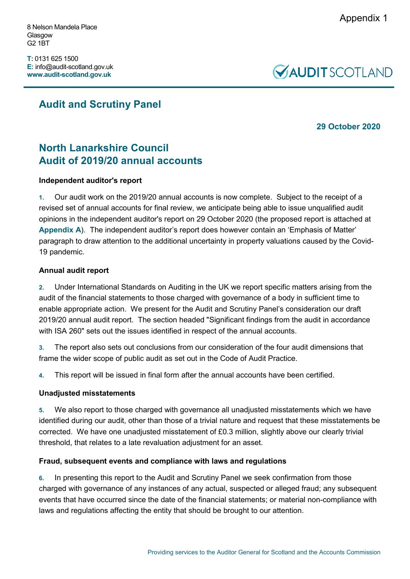8 Nelson Mandela Place Glasgow G2 1BT

**T:** 0131 625 1500 **E:** info@audit-scotland.gov.uk **www.audit-scotland.gov.uk**



# **Audit and Scrutiny Panel**

# **29 October 2020**

# **North Lanarkshire Council Audit of 2019/20 annual accounts**

# **Independent auditor's report**

**1.** Our audit work on the 2019/20 annual accounts is now complete. Subject to the receipt of a revised set of annual accounts for final review, we anticipate being able to issue unqualified audit opinions in the independent auditor's report on 29 October 2020 (the proposed report is attached at **[Appendix A](#page-5-0)**). The independent auditor's report does however contain an 'Emphasis of Matter' paragraph to draw attention to the additional uncertainty in property valuations caused by the Covid-19 pandemic.

## **Annual audit report**

**2.** Under International Standards on Auditing in the UK we report specific matters arising from the audit of the financial statements to those charged with governance of a body in sufficient time to enable appropriate action. We present for the Audit and Scrutiny Panel's consideration our draft 2019/20 annual audit report. The section headed "Significant findings from the audit in accordance with ISA 260" sets out the issues identified in respect of the annual accounts.

**3.** The report also sets out conclusions from our consideration of the four audit dimensions that frame the wider scope of public audit as set out in the Code of Audit Practice.

**4.** This report will be issued in final form after the annual accounts have been certified.

### **Unadjusted misstatements**

**5.** We also report to those charged with governance all unadjusted misstatements which we have identified during our audit, other than those of a trivial nature and request that these misstatements be corrected. We have one unadjusted misstatement of £0.3 million, slightly above our clearly trivial threshold, that relates to a late revaluation adjustment for an asset.

# **Fraud, subsequent events and compliance with laws and regulations**

**6.** In presenting this report to the Audit and Scrutiny Panel we seek confirmation from those charged with governance of any instances of any actual, suspected or alleged fraud; any subsequent events that have occurred since the date of the financial statements; or material non-compliance with laws and regulations affecting the entity that should be brought to our attention.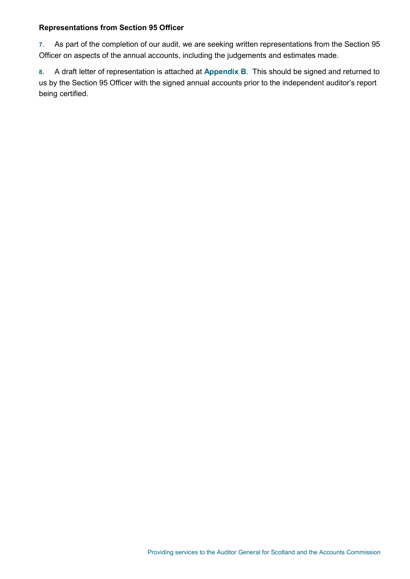### **Representations from Section 95 Officer**

**7.** As part of the completion of our audit, we are seeking written representations from the Section 95 Officer on aspects of the annual accounts, including the judgements and estimates made.

**8.** A draft letter of representation is attached at **Appendix B**. This should be signed and returned to us by the Section 95 Officer with the signed annual accounts prior to the independent auditor's report being certified.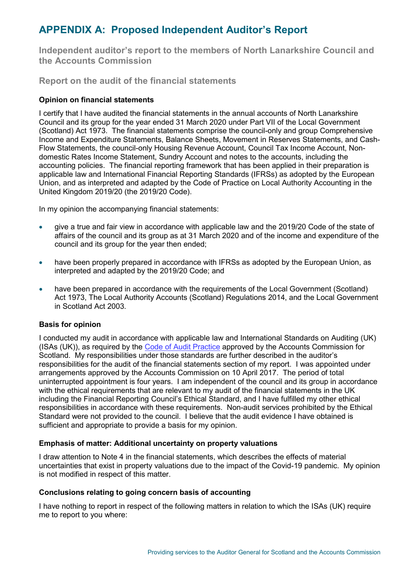# <span id="page-5-0"></span>**APPENDIX A: Proposed Independent Auditor's Report**

**Independent auditor's report to the members of North Lanarkshire Council and the Accounts Commission**

**Report on the audit of the financial statements**

## **Opinion on financial statements**

I certify that I have audited the financial statements in the annual accounts of North Lanarkshire Council and its group for the year ended 31 March 2020 under Part VII of the Local Government (Scotland) Act 1973. The financial statements comprise the council-only and group Comprehensive Income and Expenditure Statements, Balance Sheets, Movement in Reserves Statements, and Cash-Flow Statements, the council-only Housing Revenue Account, Council Tax Income Account, Nondomestic Rates Income Statement, Sundry Account and notes to the accounts, including the accounting policies. The financial reporting framework that has been applied in their preparation is applicable law and International Financial Reporting Standards (IFRSs) as adopted by the European Union, and as interpreted and adapted by the Code of Practice on Local Authority Accounting in the United Kingdom 2019/20 (the 2019/20 Code).

In my opinion the accompanying financial statements:

- give a true and fair view in accordance with applicable law and the 2019/20 Code of the state of affairs of the council and its group as at 31 March 2020 and of the income and expenditure of the council and its group for the year then ended;
- have been properly prepared in accordance with IFRSs as adopted by the European Union, as interpreted and adapted by the 2019/20 Code; and
- have been prepared in accordance with the requirements of the Local Government (Scotland) Act 1973, The Local Authority Accounts (Scotland) Regulations 2014, and the Local Government in Scotland Act 2003.

### **Basis for opinion**

I conducted my audit in accordance with applicable law and International Standards on Auditing (UK) (ISAs (UK)), as required by the [Code of Audit Practice](http://www.audit-scotland.gov.uk/uploads/docs/report/2016/code_audit_practice_16.pdf) approved by the Accounts Commission for Scotland. My responsibilities under those standards are further described in the auditor's responsibilities for the audit of the financial statements section of my report. I was appointed under arrangements approved by the Accounts Commission on 10 April 2017. The period of total uninterrupted appointment is four years. I am independent of the council and its group in accordance with the ethical requirements that are relevant to my audit of the financial statements in the UK including the Financial Reporting Council's Ethical Standard, and I have fulfilled my other ethical responsibilities in accordance with these requirements. Non-audit services prohibited by the Ethical Standard were not provided to the council. I believe that the audit evidence I have obtained is sufficient and appropriate to provide a basis for my opinion.

### **Emphasis of matter: Additional uncertainty on property valuations**

I draw attention to Note 4 in the financial statements, which describes the effects of material uncertainties that exist in property valuations due to the impact of the Covid-19 pandemic. My opinion is not modified in respect of this matter.

### **Conclusions relating to going concern basis of accounting**

I have nothing to report in respect of the following matters in relation to which the ISAs (UK) require me to report to you where: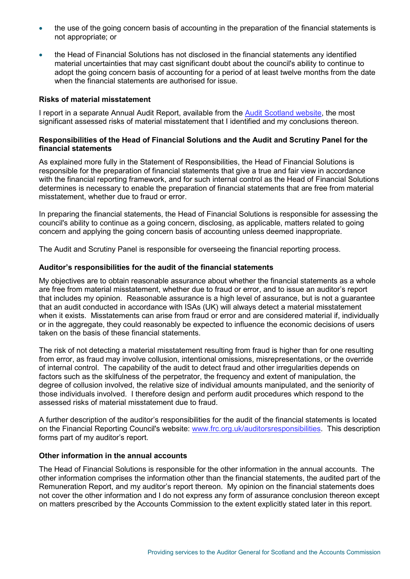- the use of the going concern basis of accounting in the preparation of the financial statements is not appropriate; or
- the Head of Financial Solutions has not disclosed in the financial statements any identified material uncertainties that may cast significant doubt about the council's ability to continue to adopt the going concern basis of accounting for a period of at least twelve months from the date when the financial statements are authorised for issue.

#### **Risks of material misstatement**

I report in a separate Annual Audit Report, available from the [Audit Scotland website,](http://www.audit-scotland.gov.uk/our-work/annual-audits) the most significant assessed risks of material misstatement that I identified and my conclusions thereon.

### **Responsibilities of the Head of Financial Solutions and the Audit and Scrutiny Panel for the financial statements**

As explained more fully in the Statement of Responsibilities, the Head of Financial Solutions is responsible for the preparation of financial statements that give a true and fair view in accordance with the financial reporting framework, and for such internal control as the Head of Financial Solutions determines is necessary to enable the preparation of financial statements that are free from material misstatement, whether due to fraud or error.

In preparing the financial statements, the Head of Financial Solutions is responsible for assessing the council's ability to continue as a going concern, disclosing, as applicable, matters related to going concern and applying the going concern basis of accounting unless deemed inappropriate.

The Audit and Scrutiny Panel is responsible for overseeing the financial reporting process.

#### **Auditor's responsibilities for the audit of the financial statements**

My objectives are to obtain reasonable assurance about whether the financial statements as a whole are free from material misstatement, whether due to fraud or error, and to issue an auditor's report that includes my opinion. Reasonable assurance is a high level of assurance, but is not a guarantee that an audit conducted in accordance with ISAs (UK) will always detect a material misstatement when it exists. Misstatements can arise from fraud or error and are considered material if, individually or in the aggregate, they could reasonably be expected to influence the economic decisions of users taken on the basis of these financial statements.

The risk of not detecting a material misstatement resulting from fraud is higher than for one resulting from error, as fraud may involve collusion, intentional omissions, misrepresentations, or the override of internal control. The capability of the audit to detect fraud and other irregularities depends on factors such as the skilfulness of the perpetrator, the frequency and extent of manipulation, the degree of collusion involved, the relative size of individual amounts manipulated, and the seniority of those individuals involved. I therefore design and perform audit procedures which respond to the assessed risks of material misstatement due to fraud.

A further description of the auditor's responsibilities for the audit of the financial statements is located on the Financial Reporting Council's website: [www.frc.org.uk/auditorsresponsibilities.](https://www.frc.org.uk/Our-Work/Audit-and-Actuarial-Regulation/Audit-and-assurance/Standards-and-guidance/Standards-and-guidance-for-auditors/Auditors-responsibilities-for-audit/Description-of-auditors-responsibilities-for-audit.aspx) This description forms part of my auditor's report.

#### **Other information in the annual accounts**

The Head of Financial Solutions is responsible for the other information in the annual accounts. The other information comprises the information other than the financial statements, the audited part of the Remuneration Report, and my auditor's report thereon. My opinion on the financial statements does not cover the other information and I do not express any form of assurance conclusion thereon except on matters prescribed by the Accounts Commission to the extent explicitly stated later in this report.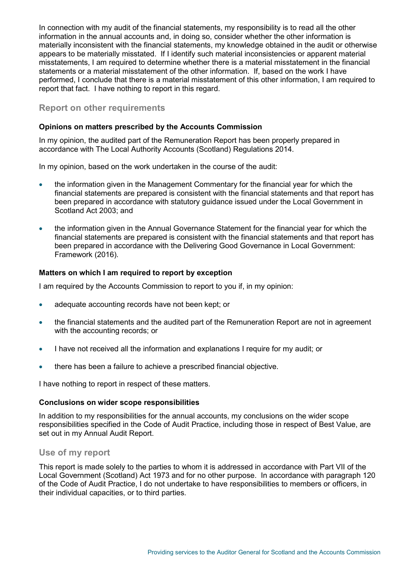In connection with my audit of the financial statements, my responsibility is to read all the other information in the annual accounts and, in doing so, consider whether the other information is materially inconsistent with the financial statements, my knowledge obtained in the audit or otherwise appears to be materially misstated. If I identify such material inconsistencies or apparent material misstatements, I am required to determine whether there is a material misstatement in the financial statements or a material misstatement of the other information. If, based on the work I have performed, I conclude that there is a material misstatement of this other information, I am required to report that fact. I have nothing to report in this regard.

## **Report on other requirements**

### **Opinions on matters prescribed by the Accounts Commission**

In my opinion, the audited part of the Remuneration Report has been properly prepared in accordance with The Local Authority Accounts (Scotland) Regulations 2014.

In my opinion, based on the work undertaken in the course of the audit:

- the information given in the Management Commentary for the financial year for which the financial statements are prepared is consistent with the financial statements and that report has been prepared in accordance with statutory guidance issued under the Local Government in Scotland Act 2003; and
- the information given in the Annual Governance Statement for the financial year for which the financial statements are prepared is consistent with the financial statements and that report has been prepared in accordance with the Delivering Good Governance in Local Government: Framework (2016).

#### **Matters on which I am required to report by exception**

I am required by the Accounts Commission to report to you if, in my opinion:

- adequate accounting records have not been kept; or
- the financial statements and the audited part of the Remuneration Report are not in agreement with the accounting records; or
- I have not received all the information and explanations I require for my audit; or
- there has been a failure to achieve a prescribed financial objective.

I have nothing to report in respect of these matters.

#### **Conclusions on wider scope responsibilities**

In addition to my responsibilities for the annual accounts, my conclusions on the wider scope responsibilities specified in the Code of Audit Practice, including those in respect of Best Value, are set out in my Annual Audit Report.

### **Use of my report**

This report is made solely to the parties to whom it is addressed in accordance with Part VII of the Local Government (Scotland) Act 1973 and for no other purpose. In accordance with paragraph 120 of the Code of Audit Practice, I do not undertake to have responsibilities to members or officers, in their individual capacities, or to third parties.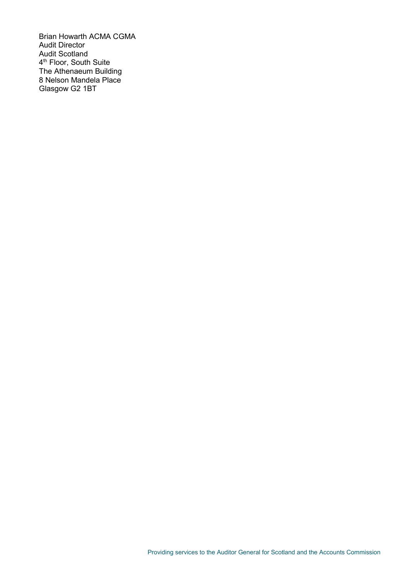Brian Howarth ACMA CGMA Audit Director Audit Scotland 4<sup>th</sup> Floor, South Suite The Athenaeum Building 8 Nelson Mandela Place Glasgow G2 1BT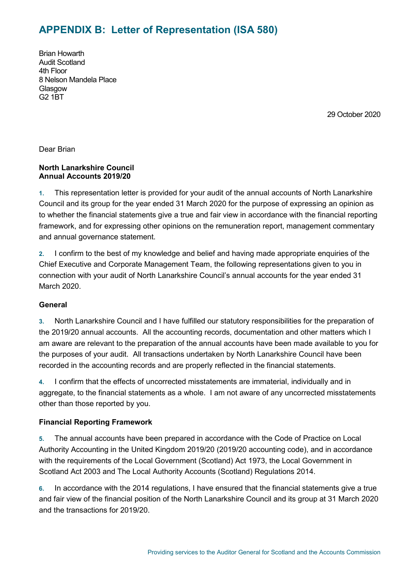# **APPENDIX B: Letter of Representation (ISA 580)**

Brian Howarth Audit Scotland 4th Floor 8 Nelson Mandela Place **Glasgow** G2 1BT

29 October 2020

Dear Brian

### **North Lanarkshire Council Annual Accounts 2019/20**

**1.** This representation letter is provided for your audit of the annual accounts of North Lanarkshire Council and its group for the year ended 31 March 2020 for the purpose of expressing an opinion as to whether the financial statements give a true and fair view in accordance with the financial reporting framework, and for expressing other opinions on the remuneration report, management commentary and annual governance statement.

**2.** I confirm to the best of my knowledge and belief and having made appropriate enquiries of the Chief Executive and Corporate Management Team, the following representations given to you in connection with your audit of North Lanarkshire Council's annual accounts for the year ended 31 March 2020.

### **General**

**3.** North Lanarkshire Council and I have fulfilled our statutory responsibilities for the preparation of the 2019/20 annual accounts. All the accounting records, documentation and other matters which I am aware are relevant to the preparation of the annual accounts have been made available to you for the purposes of your audit. All transactions undertaken by North Lanarkshire Council have been recorded in the accounting records and are properly reflected in the financial statements.

**4.** I confirm that the effects of uncorrected misstatements are immaterial, individually and in aggregate, to the financial statements as a whole. I am not aware of any uncorrected misstatements other than those reported by you.

### **Financial Reporting Framework**

**5.** The annual accounts have been prepared in accordance with the Code of Practice on Local Authority Accounting in the United Kingdom 2019/20 (2019/20 accounting code), and in accordance with the requirements of the Local Government (Scotland) Act 1973, the Local Government in Scotland Act 2003 and The Local Authority Accounts (Scotland) Regulations 2014.

**6.** In accordance with the 2014 regulations, I have ensured that the financial statements give a true and fair view of the financial position of the North Lanarkshire Council and its group at 31 March 2020 and the transactions for 2019/20.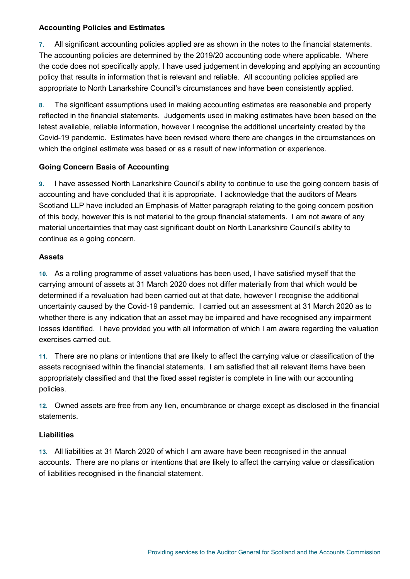### **Accounting Policies and Estimates**

**7.** All significant accounting policies applied are as shown in the notes to the financial statements. The accounting policies are determined by the 2019/20 accounting code where applicable. Where the code does not specifically apply, I have used judgement in developing and applying an accounting policy that results in information that is relevant and reliable. All accounting policies applied are appropriate to North Lanarkshire Council's circumstances and have been consistently applied.

**8.** The significant assumptions used in making accounting estimates are reasonable and properly reflected in the financial statements. Judgements used in making estimates have been based on the latest available, reliable information, however I recognise the additional uncertainty created by the Covid-19 pandemic. Estimates have been revised where there are changes in the circumstances on which the original estimate was based or as a result of new information or experience.

# **Going Concern Basis of Accounting**

**9.** I have assessed North Lanarkshire Council's ability to continue to use the going concern basis of accounting and have concluded that it is appropriate. I acknowledge that the auditors of Mears Scotland LLP have included an Emphasis of Matter paragraph relating to the going concern position of this body, however this is not material to the group financial statements. I am not aware of any material uncertainties that may cast significant doubt on North Lanarkshire Council's ability to continue as a going concern.

# **Assets**

**10.** As a rolling programme of asset valuations has been used, I have satisfied myself that the carrying amount of assets at 31 March 2020 does not differ materially from that which would be determined if a revaluation had been carried out at that date, however I recognise the additional uncertainty caused by the Covid-19 pandemic. I carried out an assessment at 31 March 2020 as to whether there is any indication that an asset may be impaired and have recognised any impairment losses identified. I have provided you with all information of which I am aware regarding the valuation exercises carried out.

**11.** There are no plans or intentions that are likely to affect the carrying value or classification of the assets recognised within the financial statements. I am satisfied that all relevant items have been appropriately classified and that the fixed asset register is complete in line with our accounting policies.

**12.** Owned assets are free from any lien, encumbrance or charge except as disclosed in the financial statements.

# **Liabilities**

**13.** All liabilities at 31 March 2020 of which I am aware have been recognised in the annual accounts. There are no plans or intentions that are likely to affect the carrying value or classification of liabilities recognised in the financial statement.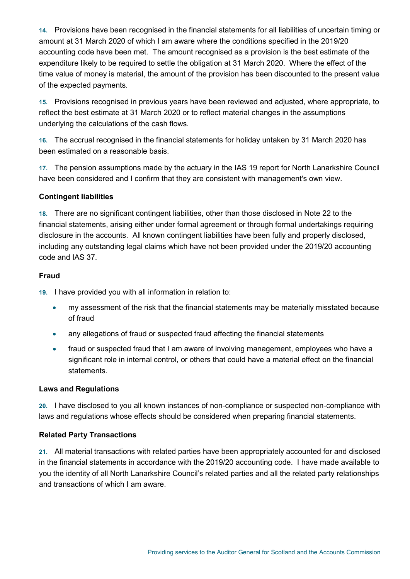**14.** Provisions have been recognised in the financial statements for all liabilities of uncertain timing or amount at 31 March 2020 of which I am aware where the conditions specified in the 2019/20 accounting code have been met. The amount recognised as a provision is the best estimate of the expenditure likely to be required to settle the obligation at 31 March 2020. Where the effect of the time value of money is material, the amount of the provision has been discounted to the present value of the expected payments.

**15.** Provisions recognised in previous years have been reviewed and adjusted, where appropriate, to reflect the best estimate at 31 March 2020 or to reflect material changes in the assumptions underlying the calculations of the cash flows.

**16.** The accrual recognised in the financial statements for holiday untaken by 31 March 2020 has been estimated on a reasonable basis.

**17.** The pension assumptions made by the actuary in the IAS 19 report for North Lanarkshire Council have been considered and I confirm that they are consistent with management's own view.

# **Contingent liabilities**

**18.** There are no significant contingent liabilities, other than those disclosed in Note 22 to the financial statements, arising either under formal agreement or through formal undertakings requiring disclosure in the accounts. All known contingent liabilities have been fully and properly disclosed, including any outstanding legal claims which have not been provided under the 2019/20 accounting code and IAS 37.

# **Fraud**

**19.** I have provided you with all information in relation to:

- my assessment of the risk that the financial statements may be materially misstated because of fraud
- any allegations of fraud or suspected fraud affecting the financial statements
- fraud or suspected fraud that I am aware of involving management, employees who have a significant role in internal control, or others that could have a material effect on the financial statements.

# **Laws and Regulations**

**20.** I have disclosed to you all known instances of non-compliance or suspected non-compliance with laws and regulations whose effects should be considered when preparing financial statements.

# **Related Party Transactions**

**21.** All material transactions with related parties have been appropriately accounted for and disclosed in the financial statements in accordance with the 2019/20 accounting code. I have made available to you the identity of all North Lanarkshire Council's related parties and all the related party relationships and transactions of which I am aware.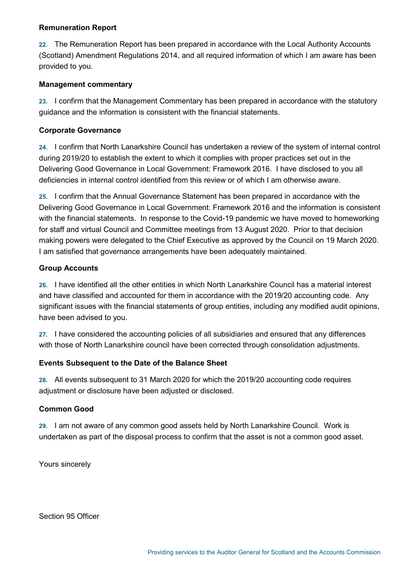### **Remuneration Report**

**22.** The Remuneration Report has been prepared in accordance with the Local Authority Accounts (Scotland) Amendment Regulations 2014, and all required information of which I am aware has been provided to you.

### **Management commentary**

**23.** I confirm that the Management Commentary has been prepared in accordance with the statutory guidance and the information is consistent with the financial statements.

### **Corporate Governance**

**24.** I confirm that North Lanarkshire Council has undertaken a review of the system of internal control during 2019/20 to establish the extent to which it complies with proper practices set out in the Delivering Good Governance in Local Government: Framework 2016. I have disclosed to you all deficiencies in internal control identified from this review or of which I am otherwise aware.

**25.** I confirm that the Annual Governance Statement has been prepared in accordance with the Delivering Good Governance in Local Government: Framework 2016 and the information is consistent with the financial statements. In response to the Covid-19 pandemic we have moved to homeworking for staff and virtual Council and Committee meetings from 13 August 2020. Prior to that decision making powers were delegated to the Chief Executive as approved by the Council on 19 March 2020. I am satisfied that governance arrangements have been adequately maintained.

### **Group Accounts**

**26.** I have identified all the other entities in which North Lanarkshire Council has a material interest and have classified and accounted for them in accordance with the 2019/20 accounting code. Any significant issues with the financial statements of group entities, including any modified audit opinions, have been advised to you.

**27.** I have considered the accounting policies of all subsidiaries and ensured that any differences with those of North Lanarkshire council have been corrected through consolidation adjustments.

### **Events Subsequent to the Date of the Balance Sheet**

**28.** All events subsequent to 31 March 2020 for which the 2019/20 accounting code requires adjustment or disclosure have been adjusted or disclosed.

### **Common Good**

**29.** I am not aware of any common good assets held by North Lanarkshire Council. Work is undertaken as part of the disposal process to confirm that the asset is not a common good asset.

Yours sincerely

Section 95 Officer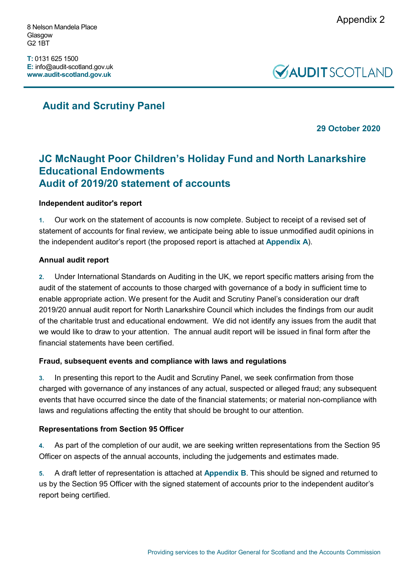8 Nelson Mandela Place Glasgow G2 1BT

**T:** 0131 625 1500 **E:** info@audit-scotland.gov.uk **www.audit-scotland.gov.uk**



# **Audit and Scrutiny Panel**

**29 October 2020**

# **JC McNaught Poor Children's Holiday Fund and North Lanarkshire Educational Endowments Audit of 2019/20 statement of accounts**

# **Independent auditor's report**

**1.** Our work on the statement of accounts is now complete. Subject to receipt of a revised set of statement of accounts for final review, we anticipate being able to issue unmodified audit opinions in the independent auditor's report (the proposed report is attached at **[Appendix A](#page-14-0)**).

# **Annual audit report**

**2.** Under International Standards on Auditing in the UK, we report specific matters arising from the audit of the statement of accounts to those charged with governance of a body in sufficient time to enable appropriate action. We present for the Audit and Scrutiny Panel's consideration our draft 2019/20 annual audit report for North Lanarkshire Council which includes the findings from our audit of the charitable trust and educational endowment. We did not identify any issues from the audit that we would like to draw to your attention. The annual audit report will be issued in final form after the financial statements have been certified.

# **Fraud, subsequent events and compliance with laws and regulations**

**3.** In presenting this report to the Audit and Scrutiny Panel, we seek confirmation from those charged with governance of any instances of any actual, suspected or alleged fraud; any subsequent events that have occurred since the date of the financial statements; or material non-compliance with laws and regulations affecting the entity that should be brought to our attention.

# **Representations from Section 95 Officer**

**4.** As part of the completion of our audit, we are seeking written representations from the Section 95 Officer on aspects of the annual accounts, including the judgements and estimates made.

**5.** A draft letter of representation is attached at **[Appendix B](#page-18-0)**. This should be signed and returned to us by the Section 95 Officer with the signed statement of accounts prior to the independent auditor's report being certified.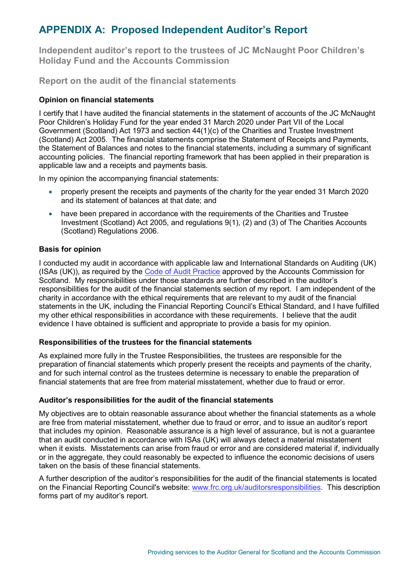# <span id="page-14-0"></span>**APPENDIX A: Proposed Independent Auditor's Report**

**Independent auditor's report to the trustees of JC McNaught Poor Children's Holiday Fund and the Accounts Commission**

**Report on the audit of the financial statements**

## **Opinion on financial statements**

I certify that I have audited the financial statements in the statement of accounts of the JC McNaught Poor Children's Holiday Fund for the year ended 31 March 2020 under Part VII of the Local Government (Scotland) Act 1973 and section 44(1)(c) of the Charities and Trustee Investment (Scotland) Act 2005. The financial statements comprise the Statement of Receipts and Payments, the Statement of Balances and notes to the financial statements, including a summary of significant accounting policies. The financial reporting framework that has been applied in their preparation is applicable law and a receipts and payments basis.

In my opinion the accompanying financial statements:

- properly present the receipts and payments of the charity for the year ended 31 March 2020 and its statement of balances at that date; and
- have been prepared in accordance with the requirements of the Charities and Trustee Investment (Scotland) Act 2005, and regulations 9(1), (2) and (3) of The Charities Accounts (Scotland) Regulations 2006.

## **Basis for opinion**

I conducted my audit in accordance with applicable law and International Standards on Auditing (UK) (ISAs (UK)), as required by the [Code of Audit Practice](http://www.audit-scotland.gov.uk/uploads/docs/report/2016/code_audit_practice_16.pdf) approved by the Accounts Commission for Scotland. My responsibilities under those standards are further described in the auditor's responsibilities for the audit of the financial statements section of my report. I am independent of the charity in accordance with the ethical requirements that are relevant to my audit of the financial statements in the UK, including the Financial Reporting Council's Ethical Standard, and I have fulfilled my other ethical responsibilities in accordance with these requirements. I believe that the audit evidence I have obtained is sufficient and appropriate to provide a basis for my opinion.

### **Responsibilities of the trustees for the financial statements**

As explained more fully in the Trustee Responsibilities, the trustees are responsible for the preparation of financial statements which properly present the receipts and payments of the charity, and for such internal control as the trustees determine is necessary to enable the preparation of financial statements that are free from material misstatement, whether due to fraud or error.

### **Auditor's responsibilities for the audit of the financial statements**

My objectives are to obtain reasonable assurance about whether the financial statements as a whole are free from material misstatement, whether due to fraud or error, and to issue an auditor's report that includes my opinion. Reasonable assurance is a high level of assurance, but is not a guarantee that an audit conducted in accordance with ISAs (UK) will always detect a material misstatement when it exists. Misstatements can arise from fraud or error and are considered material if, individually or in the aggregate, they could reasonably be expected to influence the economic decisions of users taken on the basis of these financial statements.

A further description of the auditor's responsibilities for the audit of the financial statements is located on the Financial Reporting Council's website: [www.frc.org.uk/auditorsresponsibilities.](https://www.frc.org.uk/Our-Work/Audit-and-Actuarial-Regulation/Audit-and-assurance/Standards-and-guidance/Standards-and-guidance-for-auditors/Auditors-responsibilities-for-audit/Description-of-auditors-responsibilities-for-audit.aspx) This description forms part of my auditor's report.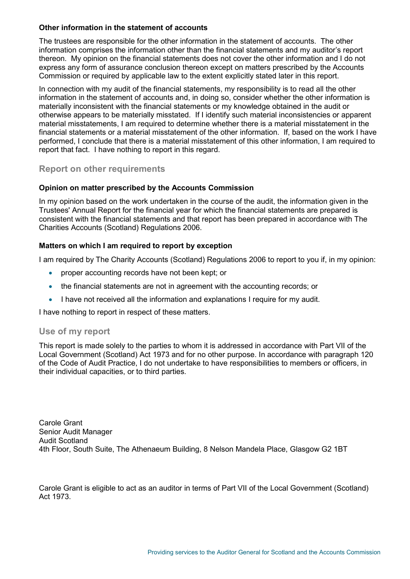### **Other information in the statement of accounts**

The trustees are responsible for the other information in the statement of accounts. The other information comprises the information other than the financial statements and my auditor's report thereon. My opinion on the financial statements does not cover the other information and I do not express any form of assurance conclusion thereon except on matters prescribed by the Accounts Commission or required by applicable law to the extent explicitly stated later in this report.

In connection with my audit of the financial statements, my responsibility is to read all the other information in the statement of accounts and, in doing so, consider whether the other information is materially inconsistent with the financial statements or my knowledge obtained in the audit or otherwise appears to be materially misstated. If I identify such material inconsistencies or apparent material misstatements, I am required to determine whether there is a material misstatement in the financial statements or a material misstatement of the other information. If, based on the work I have performed, I conclude that there is a material misstatement of this other information, I am required to report that fact. I have nothing to report in this regard.

## **Report on other requirements**

### **Opinion on matter prescribed by the Accounts Commission**

In my opinion based on the work undertaken in the course of the audit, the information given in the Trustees' Annual Report for the financial year for which the financial statements are prepared is consistent with the financial statements and that report has been prepared in accordance with The Charities Accounts (Scotland) Regulations 2006.

### **Matters on which I am required to report by exception**

I am required by The Charity Accounts (Scotland) Regulations 2006 to report to you if, in my opinion:

- proper accounting records have not been kept; or
- the financial statements are not in agreement with the accounting records; or
- I have not received all the information and explanations I require for my audit.

I have nothing to report in respect of these matters.

### **Use of my report**

This report is made solely to the parties to whom it is addressed in accordance with Part VII of the Local Government (Scotland) Act 1973 and for no other purpose. In accordance with paragraph 120 of the Code of Audit Practice, I do not undertake to have responsibilities to members or officers, in their individual capacities, or to third parties.

Carole Grant Senior Audit Manager Audit Scotland 4th Floor, South Suite, The Athenaeum Building, 8 Nelson Mandela Place, Glasgow G2 1BT

Carole Grant is eligible to act as an auditor in terms of Part VII of the Local Government (Scotland) Act 1973.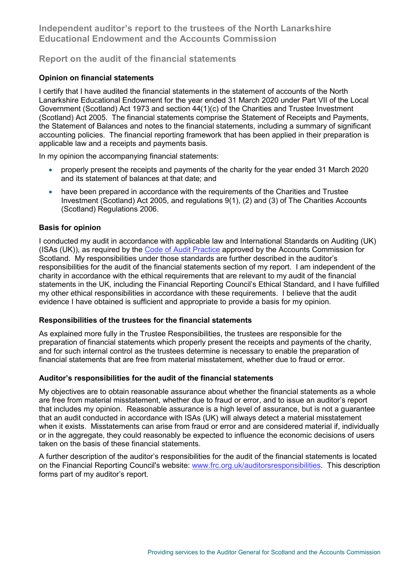**Independent auditor's report to the trustees of the North Lanarkshire Educational Endowment and the Accounts Commission**

# **Report on the audit of the financial statements**

## **Opinion on financial statements**

I certify that I have audited the financial statements in the statement of accounts of the North Lanarkshire Educational Endowment for the year ended 31 March 2020 under Part VII of the Local Government (Scotland) Act 1973 and section 44(1)(c) of the Charities and Trustee Investment (Scotland) Act 2005. The financial statements comprise the Statement of Receipts and Payments, the Statement of Balances and notes to the financial statements, including a summary of significant accounting policies. The financial reporting framework that has been applied in their preparation is applicable law and a receipts and payments basis.

In my opinion the accompanying financial statements:

- properly present the receipts and payments of the charity for the year ended 31 March 2020 and its statement of balances at that date; and
- have been prepared in accordance with the requirements of the Charities and Trustee Investment (Scotland) Act 2005, and regulations 9(1), (2) and (3) of The Charities Accounts (Scotland) Regulations 2006.

### **Basis for opinion**

I conducted my audit in accordance with applicable law and International Standards on Auditing (UK) (ISAs (UK)), as required by the [Code of Audit Practice](http://www.audit-scotland.gov.uk/uploads/docs/report/2016/code_audit_practice_16.pdf) approved by the Accounts Commission for Scotland. My responsibilities under those standards are further described in the auditor's responsibilities for the audit of the financial statements section of my report. I am independent of the charity in accordance with the ethical requirements that are relevant to my audit of the financial statements in the UK, including the Financial Reporting Council's Ethical Standard, and I have fulfilled my other ethical responsibilities in accordance with these requirements. I believe that the audit evidence I have obtained is sufficient and appropriate to provide a basis for my opinion.

### **Responsibilities of the trustees for the financial statements**

As explained more fully in the Trustee Responsibilities, the trustees are responsible for the preparation of financial statements which properly present the receipts and payments of the charity, and for such internal control as the trustees determine is necessary to enable the preparation of financial statements that are free from material misstatement, whether due to fraud or error.

### **Auditor's responsibilities for the audit of the financial statements**

My objectives are to obtain reasonable assurance about whether the financial statements as a whole are free from material misstatement, whether due to fraud or error, and to issue an auditor's report that includes my opinion. Reasonable assurance is a high level of assurance, but is not a guarantee that an audit conducted in accordance with ISAs (UK) will always detect a material misstatement when it exists. Misstatements can arise from fraud or error and are considered material if, individually or in the aggregate, they could reasonably be expected to influence the economic decisions of users taken on the basis of these financial statements.

A further description of the auditor's responsibilities for the audit of the financial statements is located on the Financial Reporting Council's website: [www.frc.org.uk/auditorsresponsibilities.](https://www.frc.org.uk/Our-Work/Audit-and-Actuarial-Regulation/Audit-and-assurance/Standards-and-guidance/Standards-and-guidance-for-auditors/Auditors-responsibilities-for-audit/Description-of-auditors-responsibilities-for-audit.aspx) This description forms part of my auditor's report.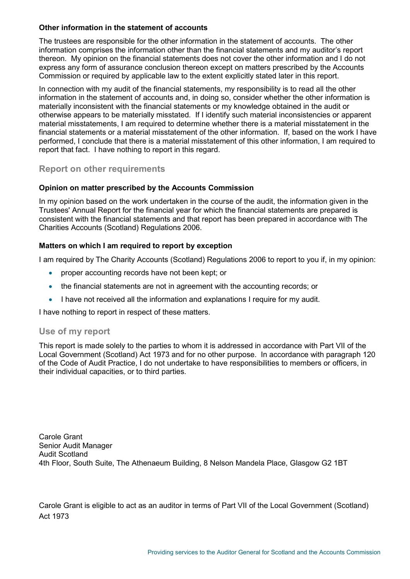### **Other information in the statement of accounts**

The trustees are responsible for the other information in the statement of accounts. The other information comprises the information other than the financial statements and my auditor's report thereon. My opinion on the financial statements does not cover the other information and I do not express any form of assurance conclusion thereon except on matters prescribed by the Accounts Commission or required by applicable law to the extent explicitly stated later in this report.

In connection with my audit of the financial statements, my responsibility is to read all the other information in the statement of accounts and, in doing so, consider whether the other information is materially inconsistent with the financial statements or my knowledge obtained in the audit or otherwise appears to be materially misstated. If I identify such material inconsistencies or apparent material misstatements, I am required to determine whether there is a material misstatement in the financial statements or a material misstatement of the other information. If, based on the work I have performed, I conclude that there is a material misstatement of this other information, I am required to report that fact. I have nothing to report in this regard.

## **Report on other requirements**

### **Opinion on matter prescribed by the Accounts Commission**

In my opinion based on the work undertaken in the course of the audit, the information given in the Trustees' Annual Report for the financial year for which the financial statements are prepared is consistent with the financial statements and that report has been prepared in accordance with The Charities Accounts (Scotland) Regulations 2006.

### **Matters on which I am required to report by exception**

I am required by The Charity Accounts (Scotland) Regulations 2006 to report to you if, in my opinion:

- proper accounting records have not been kept; or
- the financial statements are not in agreement with the accounting records; or
- I have not received all the information and explanations I require for my audit.

I have nothing to report in respect of these matters.

### **Use of my report**

This report is made solely to the parties to whom it is addressed in accordance with Part VII of the Local Government (Scotland) Act 1973 and for no other purpose. In accordance with paragraph 120 of the Code of Audit Practice, I do not undertake to have responsibilities to members or officers, in their individual capacities, or to third parties.

Carole Grant Senior Audit Manager Audit Scotland 4th Floor, South Suite, The Athenaeum Building, 8 Nelson Mandela Place, Glasgow G2 1BT

Carole Grant is eligible to act as an auditor in terms of Part VII of the Local Government (Scotland) Act 1973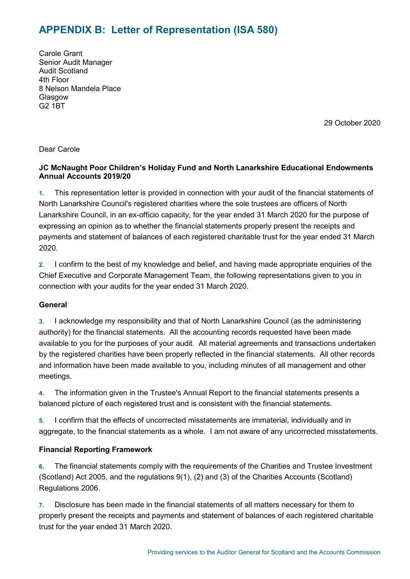# <span id="page-18-0"></span>**APPENDIX B: Letter of Representation (ISA 580)**

Carole Grant Senior Audit Manager Audit Scotland 4th Floor 8 Nelson Mandela Place Glasgow G2 1BT

29 October 2020

Dear Carole

# **JC McNaught Poor Children's Holiday Fund and North Lanarkshire Educational Endowments Annual Accounts 2019/20**

**1.** This representation letter is provided in connection with your audit of the financial statements of North Lanarkshire Council's registered charities where the sole trustees are officers of North Lanarkshire Council, in an ex-officio capacity, for the year ended 31 March 2020 for the purpose of expressing an opinion as to whether the financial statements properly present the receipts and payments and statement of balances of each registered charitable trust for the year ended 31 March 2020.

**2.** I confirm to the best of my knowledge and belief, and having made appropriate enquiries of the Chief Executive and Corporate Management Team, the following representations given to you in connection with your audits for the year ended 31 March 2020.

### **General**

**3.** I acknowledge my responsibility and that of North Lanarkshire Council (as the administering authority) for the financial statements. All the accounting records requested have been made available to you for the purposes of your audit. All material agreements and transactions undertaken by the registered charities have been properly reflected in the financial statements. All other records and information have been made available to you, including minutes of all management and other meetings.

**4.** The information given in the Trustee's Annual Report to the financial statements presents a balanced picture of each registered trust and is consistent with the financial statements.

**5.** I confirm that the effects of uncorrected misstatements are immaterial, individually and in aggregate, to the financial statements as a whole. I am not aware of any uncorrected misstatements.

# **Financial Reporting Framework**

**6.** The financial statements comply with the requirements of the Charities and Trustee Investment (Scotland) Act 2005, and the regulations 9(1), (2) and (3) of the Charities Accounts (Scotland) Regulations 2006.

**7.** Disclosure has been made in the financial statements of all matters necessary for them to properly present the receipts and payments and statement of balances of each registered charitable trust for the year ended 31 March 2020.